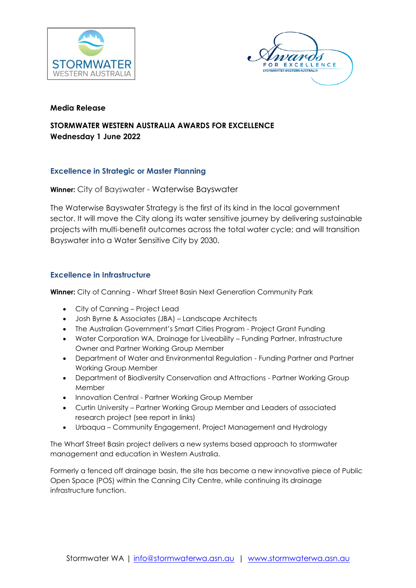



### **Media Release**

# **STORMWATER WESTERN AUSTRALIA AWARDS FOR EXCELLENCE Wednesday 1 June 2022**

# **Excellence in Strategic or Master Planning**

**Winner:** City of Bayswater - Waterwise Bayswater

The Waterwise Bayswater Strategy is the first of its kind in the local government sector. It will move the City along its water sensitive journey by delivering sustainable projects with multi-benefit outcomes across the total water cycle; and will transition Bayswater into a Water Sensitive City by 2030.

# **Excellence in Infrastructure**

**Winner:** City of Canning - Wharf Street Basin Next Generation Community Park

- City of Canning Project Lead
- Josh Byrne & Associates (JBA) Landscape Architects
- The Australian Government's Smart Cities Program Project Grant Funding
- Water Corporation WA, Drainage for Liveability Funding Partner, Infrastructure Owner and Partner Working Group Member
- Department of Water and Environmental Regulation Funding Partner and Partner Working Group Member
- Department of Biodiversity Conservation and Attractions Partner Working Group Member
- Innovation Central Partner Working Group Member
- Curtin University Partner Working Group Member and Leaders of associated research project (see report in links)
- Urbaqua Community Engagement, Project Management and Hydrology

The Wharf Street Basin project delivers a new systems based approach to stormwater management and education in Western Australia.

Formerly a fenced off drainage basin, the site has become a new innovative piece of Public Open Space (POS) within the Canning City Centre, while continuing its drainage infrastructure function.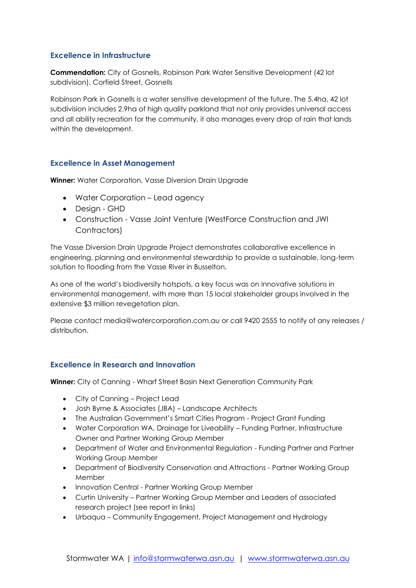# **Excellence in Infrastructure**

**Commendation:** City of Gosnells, Robinson Park Water Sensitive Development (42 lot subdivision), Corfield Street, Gosnells

Robinson Park in Gosnells is a water sensitive development of the future. The 5.4ha, 42 lot subdivision includes 2.9ha of high quality parkland that not only provides universal access and all ability recreation for the community, it also manages every drop of rain that lands within the development.

#### **Excellence in Asset Management**

**Winner:** Water Corporation, Vasse Diversion Drain Upgrade

- Water Corporation Lead agency
- Design GHD
- Construction Vasse Joint Venture (WestForce Construction and JWI Contractors)

The Vasse Diversion Drain Upgrade Project demonstrates collaborative excellence in engineering, planning and environmental stewardship to provide a sustainable, long-term solution to flooding from the Vasse River in Busselton.

As one of the world's biodiversity hotspots, a key focus was on innovative solutions in environmental management, with more than 15 local stakeholder groups involved in the extensive \$3 million revegetation plan.

Please contact media@watercorporation.com.au or call 9420 2555 to notify of any releases / distribution.

#### **Excellence in Research and Innovation**

**Winner:** City of Canning - Wharf Street Basin Next Generation Community Park

- City of Canning Project Lead
- Josh Byrne & Associates (JBA) Landscape Architects
- The Australian Government's Smart Cities Program Project Grant Funding
- Water Corporation WA, Drainage for Liveability Funding Partner, Infrastructure Owner and Partner Working Group Member
- Department of Water and Environmental Regulation Funding Partner and Partner Working Group Member
- Department of Biodiversity Conservation and Attractions Partner Working Group Member
- Innovation Central Partner Working Group Member
- Curtin University Partner Working Group Member and Leaders of associated research project (see report in links)
- Urbaqua Community Engagement, Project Management and Hydrology